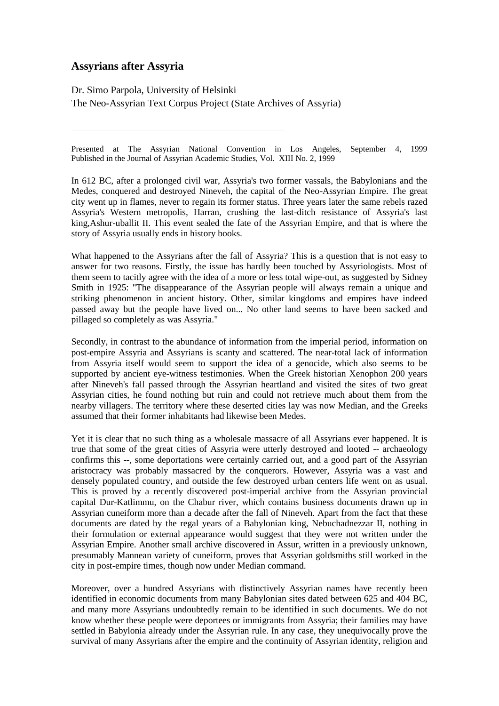## **Assyrians after Assyria**

Dr. Simo Parpola, University of Helsinki The Neo-Assyrian Text Corpus Project (State Archives of Assyria)

Presented at The Assyrian National Convention in Los Angeles, September 4, 1999 Published in the Journal of Assyrian Academic Studies, Vol. XIII No. 2, 1999

In 612 BC, after a prolonged civil war, Assyria's two former vassals, the Babylonians and the Medes, conquered and destroyed Nineveh, the capital of the Neo-Assyrian Empire. The great city went up in flames, never to regain its former status. Three years later the same rebels razed Assyria's Western metropolis, Harran, crushing the last-ditch resistance of Assyria's last king,Ashur-uballit II. This event sealed the fate of the Assyrian Empire, and that is where the story of Assyria usually ends in history books.

What happened to the Assyrians after the fall of Assyria? This is a question that is not easy to answer for two reasons. Firstly, the issue has hardly been touched by Assyriologists. Most of them seem to tacitly agree with the idea of a more or less total wipe-out, as suggested by Sidney Smith in 1925: "The disappearance of the Assyrian people will always remain a unique and striking phenomenon in ancient history. Other, similar kingdoms and empires have indeed passed away but the people have lived on... No other land seems to have been sacked and pillaged so completely as was Assyria."

Secondly, in contrast to the abundance of information from the imperial period, information on post-empire Assyria and Assyrians is scanty and scattered. The near-total lack of information from Assyria itself would seem to support the idea of a genocide, which also seems to be supported by ancient eye-witness testimonies. When the Greek historian Xenophon 200 years after Nineveh's fall passed through the Assyrian heartland and visited the sites of two great Assyrian cities, he found nothing but ruin and could not retrieve much about them from the nearby villagers. The territory where these deserted cities lay was now Median, and the Greeks assumed that their former inhabitants had likewise been Medes.

Yet it is clear that no such thing as a wholesale massacre of all Assyrians ever happened. It is true that some of the great cities of Assyria were utterly destroyed and looted -- archaeology confirms this --, some deportations were certainly carried out, and a good part of the Assyrian aristocracy was probably massacred by the conquerors. However, Assyria was a vast and densely populated country, and outside the few destroyed urban centers life went on as usual. This is proved by a recently discovered post-imperial archive from the Assyrian provincial capital Dur-Katlimmu, on the Chabur river, which contains business documents drawn up in Assyrian cuneiform more than a decade after the fall of Nineveh. Apart from the fact that these documents are dated by the regal years of a Babylonian king, Nebuchadnezzar II, nothing in their formulation or external appearance would suggest that they were not written under the Assyrian Empire. Another small archive discovered in Assur, written in a previously unknown, presumably Mannean variety of cuneiform, proves that Assyrian goldsmiths still worked in the city in post-empire times, though now under Median command.

Moreover, over a hundred Assyrians with distinctively Assyrian names have recently been identified in economic documents from many Babylonian sites dated between 625 and 404 BC, and many more Assyrians undoubtedly remain to be identified in such documents. We do not know whether these people were deportees or immigrants from Assyria; their families may have settled in Babylonia already under the Assyrian rule. In any case, they unequivocally prove the survival of many Assyrians after the empire and the continuity of Assyrian identity, religion and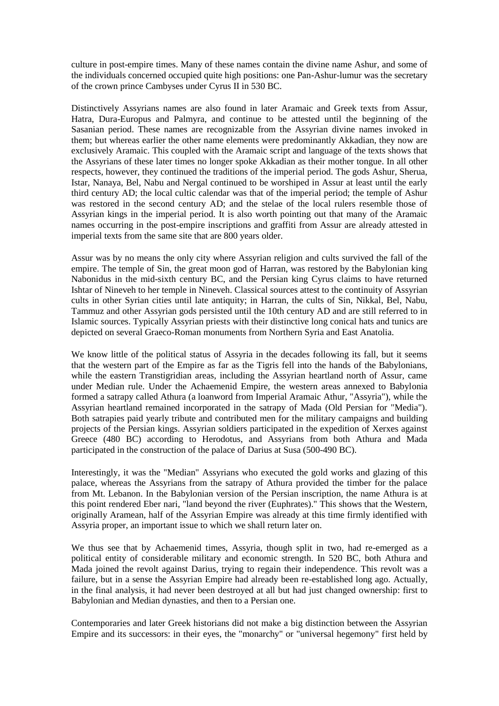culture in post-empire times. Many of these names contain the divine name Ashur, and some of the individuals concerned occupied quite high positions: one Pan-Ashur-lumur was the secretary of the crown prince Cambyses under Cyrus II in 530 BC.

Distinctively Assyrians names are also found in later Aramaic and Greek texts from Assur, Hatra, Dura-Europus and Palmyra, and continue to be attested until the beginning of the Sasanian period. These names are recognizable from the Assyrian divine names invoked in them; but whereas earlier the other name elements were predominantly Akkadian, they now are exclusively Aramaic. This coupled with the Aramaic script and language of the texts shows that the Assyrians of these later times no longer spoke Akkadian as their mother tongue. In all other respects, however, they continued the traditions of the imperial period. The gods Ashur, Sherua, Istar, Nanaya, Bel, Nabu and Nergal continued to be worshiped in Assur at least until the early third century AD; the local cultic calendar was that of the imperial period; the temple of Ashur was restored in the second century AD; and the stelae of the local rulers resemble those of Assyrian kings in the imperial period. It is also worth pointing out that many of the Aramaic names occurring in the post-empire inscriptions and graffiti from Assur are already attested in imperial texts from the same site that are 800 years older.

Assur was by no means the only city where Assyrian religion and cults survived the fall of the empire. The temple of Sin, the great moon god of Harran, was restored by the Babylonian king Nabonidus in the mid-sixth century BC, and the Persian king Cyrus claims to have returned Ishtar of Nineveh to her temple in Nineveh. Classical sources attest to the continuity of Assyrian cults in other Syrian cities until late antiquity; in Harran, the cults of Sin, Nikkal, Bel, Nabu, Tammuz and other Assyrian gods persisted until the 10th century AD and are still referred to in Islamic sources. Typically Assyrian priests with their distinctive long conical hats and tunics are depicted on several Graeco-Roman monuments from Northern Syria and East Anatolia.

We know little of the political status of Assyria in the decades following its fall, but it seems that the western part of the Empire as far as the Tigris fell into the hands of the Babylonians, while the eastern Transtigridian areas, including the Assyrian heartland north of Assur, came under Median rule. Under the Achaemenid Empire, the western areas annexed to Babylonia formed a satrapy called Athura (a loanword from Imperial Aramaic Athur, "Assyria"), while the Assyrian heartland remained incorporated in the satrapy of Mada (Old Persian for "Media"). Both satrapies paid yearly tribute and contributed men for the military campaigns and building projects of the Persian kings. Assyrian soldiers participated in the expedition of Xerxes against Greece (480 BC) according to Herodotus, and Assyrians from both Athura and Mada participated in the construction of the palace of Darius at Susa (500-490 BC).

Interestingly, it was the "Median" Assyrians who executed the gold works and glazing of this palace, whereas the Assyrians from the satrapy of Athura provided the timber for the palace from Mt. Lebanon. In the Babylonian version of the Persian inscription, the name Athura is at this point rendered Eber nari, "land beyond the river (Euphrates)." This shows that the Western, originally Aramean, half of the Assyrian Empire was already at this time firmly identified with Assyria proper, an important issue to which we shall return later on.

We thus see that by Achaemenid times, Assyria, though split in two, had re-emerged as a political entity of considerable military and economic strength. In 520 BC, both Athura and Mada joined the revolt against Darius, trying to regain their independence. This revolt was a failure, but in a sense the Assyrian Empire had already been re-established long ago. Actually, in the final analysis, it had never been destroyed at all but had just changed ownership: first to Babylonian and Median dynasties, and then to a Persian one.

Contemporaries and later Greek historians did not make a big distinction between the Assyrian Empire and its successors: in their eyes, the "monarchy" or "universal hegemony" first held by